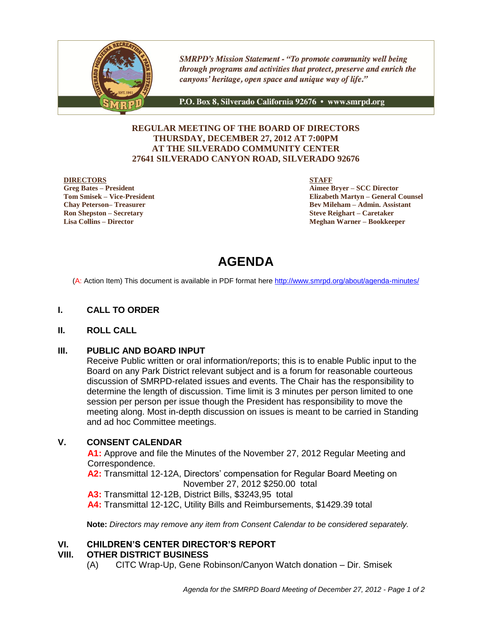

**SMRPD's Mission Statement - "To promote community well being** through programs and activities that protect, preserve and enrich the canyons' heritage, open space and unique way of life."

P.O. Box 8, Silverado California 92676 · www.smrpd.org

## **REGULAR MEETING OF THE BOARD OF DIRECTORS THURSDAY, DECEMBER 27, 2012 AT 7:00PM AT THE SILVERADO COMMUNITY CENTER 27641 SILVERADO CANYON ROAD, SILVERADO 92676**

#### **DIRECTORS**

**Greg Bates – President Tom Smisek – Vice-President Chay Peterson– Treasurer Ron Shepston – Secretary Lisa Collins – Director**

**STAFF**

**Aimee Bryer – SCC Director Elizabeth Martyn – General Counsel Bev Mileham – Admin. Assistant Steve Reighart – Caretaker Meghan Warner – Bookkeeper**

# **AGENDA**

(A: Action Item) This document is available in PDF format here <http://www.smrpd.org/>about/agenda-minutes/

## **I. CALL TO ORDER**

#### **II. ROLL CALL**

#### **III. PUBLIC AND BOARD INPUT**

Receive Public written or oral information/reports; this is to enable Public input to the Board on any Park District relevant subject and is a forum for reasonable courteous discussion of SMRPD-related issues and events. The Chair has the responsibility to determine the length of discussion. Time limit is 3 minutes per person limited to one session per person per issue though the President has responsibility to move the meeting along. Most in-depth discussion on issues is meant to be carried in Standing and ad hoc Committee meetings.

## **V. CONSENT CALENDAR**

**A1:** Approve and file the Minutes of the November 27, 2012 Regular Meeting and Correspondence.

**A2:** Transmittal 12-12A, Directors' compensation for Regular Board Meeting on November 27, 2012 \$250.00 total

**A3:** Transmittal 12-12B, District Bills, \$3243,95 total

**A4:** Transmittal 12-12C, Utility Bills and Reimbursements, \$1429.39 total

**Note:** *Directors may remove any item from Consent Calendar to be considered separately.*

#### **VI. CHILDREN'S CENTER DIRECTOR'S REPORT**

#### **VIII. OTHER DISTRICT BUSINESS**

(A) CITC Wrap-Up, Gene Robinson/Canyon Watch donation – Dir. Smisek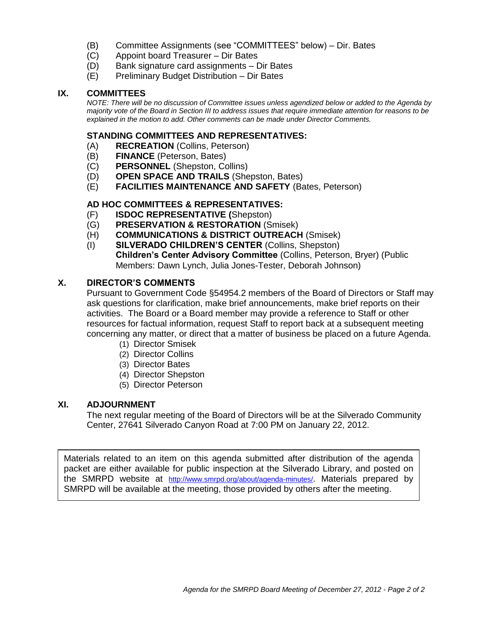- (B) Committee Assignments (see "COMMITTEES" below) Dir. Bates
- (C) Appoint board Treasurer Dir Bates
- (D) Bank signature card assignments Dir Bates
- (E) Preliminary Budget Distribution Dir Bates

### **IX. COMMITTEES**

*NOTE: There will be no discussion of Committee issues unless agendized below or added to the Agenda by majority vote of the Board in Section III to address issues that require immediate attention for reasons to be explained in the motion to add. Other comments can be made under Director Comments.*

#### **STANDING COMMITTEES AND REPRESENTATIVES:**

- (A) **RECREATION** (Collins, Peterson)
- (B) **FINANCE** (Peterson, Bates)
- (C) **PERSONNEL** (Shepston, Collins)
- (D) **OPEN SPACE AND TRAILS** (Shepston, Bates)
- (E) **FACILITIES MAINTENANCE AND SAFETY** (Bates, Peterson)

## **AD HOC COMMITTEES & REPRESENTATIVES:**

- (F) **ISDOC REPRESENTATIVE (**Shepston)
- (G) **PRESERVATION & RESTORATION** (Smisek)
- (H) **COMMUNICATIONS & DISTRICT OUTREACH** (Smisek)
- (I) **SILVERADO CHILDREN'S CENTER** (Collins, Shepston) **Children's Center Advisory Committee** (Collins, Peterson, Bryer) (Public Members: Dawn Lynch, Julia Jones-Tester, Deborah Johnson)

## **X. DIRECTOR'S COMMENTS**

Pursuant to Government Code §54954.2 members of the Board of Directors or Staff may ask questions for clarification, make brief announcements, make brief reports on their activities. The Board or a Board member may provide a reference to Staff or other resources for factual information, request Staff to report back at a subsequent meeting concerning any matter, or direct that a matter of business be placed on a future Agenda.

- (1) Director Smisek
- (2) Director Collins
- (3) Director Bates
- (4) Director Shepston
- (5) Director Peterson

#### **XI. ADJOURNMENT**

The next regular meeting of the Board of Directors will be at the Silverado Community Center, 27641 Silverado Canyon Road at 7:00 PM on January 22, 2012.

Materials related to an item on this agenda submitted after distribution of the agenda packet are either available for public inspection at the Silverado Library, and posted on the SMRPD website at <http://www.smrpd.org/>about/agenda-minutes/. Materials prepared by SMRPD will be available at the meeting, those provided by others after the meeting.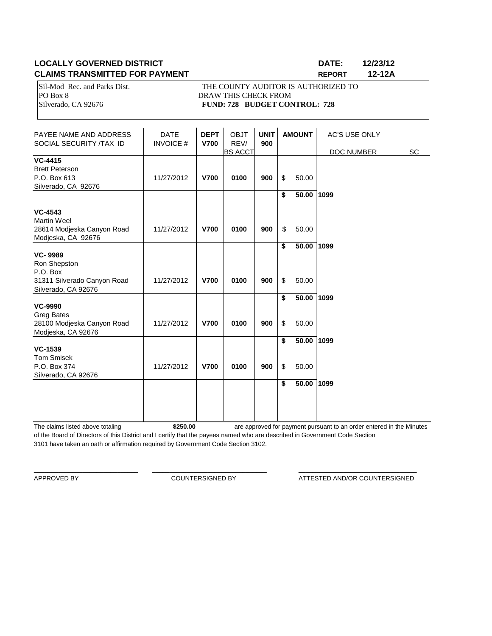## **LOCALLY GOVERNED DISTRICT DATE: 12/23/12 CLAIMS TRANSMITTED FOR PAYMENT REPORT 12-12A**

PO Box 8 DRAW THIS CHECK FROM

Sil-Mod Rec. and Parks Dist. THE COUNTY AUDITOR IS AUTHORIZED TO Silverado, CA 92676 **FUND: 728 BUDGET CONTROL: 728** 

| PAYEE NAME AND ADDRESS<br>SOCIAL SECURITY /TAX ID                                                                      | <b>DATE</b><br><b>INVOICE#</b> | <b>DEPT</b><br><b>V700</b> | <b>OBJT</b><br>REV/<br><b>BS ACCT</b> | <b>UNIT</b><br>900 |          | <b>AMOUNT</b>  | <b>AC'S USE ONLY</b><br>DOC NUMBER | SC |
|------------------------------------------------------------------------------------------------------------------------|--------------------------------|----------------------------|---------------------------------------|--------------------|----------|----------------|------------------------------------|----|
| <b>VC-4415</b><br><b>Brett Peterson</b><br>P.O. Box 613<br>Silverado, CA 92676                                         | 11/27/2012                     | <b>V700</b>                | 0100                                  | 900                | \$       | 50.00          |                                    |    |
| <b>VC-4543</b><br><b>Martin Weel</b><br>28614 Modjeska Canyon Road                                                     | 11/27/2012                     | <b>V700</b>                | 0100                                  | 900                | \$<br>\$ | 50.00<br>50.00 | 1099                               |    |
| Modjeska, CA 92676<br><b>VC-9989</b><br>Ron Shepston<br>P.O. Box<br>31311 Silverado Canyon Road<br>Silverado, CA 92676 | 11/27/2012                     | <b>V700</b>                | 0100                                  | 900                | \$<br>\$ | 50.00<br>50.00 | 1099                               |    |
| <b>VC-9990</b><br><b>Greg Bates</b><br>28100 Modjeska Canyon Road<br>Modjeska, CA 92676                                | 11/27/2012                     | <b>V700</b>                | 0100                                  | 900                | \$<br>\$ | 50.00<br>50.00 | 1099                               |    |
| <b>VC-1539</b><br><b>Tom Smisek</b><br>P.O. Box 374<br>Silverado, CA 92676                                             | 11/27/2012                     | <b>V700</b>                | 0100                                  | 900                | \$<br>\$ | 50.00<br>50.00 | 1099                               |    |
|                                                                                                                        |                                |                            |                                       |                    | \$       | 50.00          | 1099                               |    |

The claims listed above totaling **\$250.00** of the Board of Directors of this District and I certify that the payees named who are described in Government Code Section 3101 have taken an oath or affirmation required by Government Code Section 3102. are approved for payment pursuant to an order entered in the Minutes

\_\_\_\_\_\_\_\_\_\_\_\_\_\_\_\_\_\_\_\_\_\_\_\_\_\_\_\_\_\_ \_\_\_\_\_\_\_\_\_\_\_\_\_\_\_\_\_\_\_\_\_\_\_\_\_\_\_\_\_\_\_\_\_ \_\_\_\_\_\_\_\_\_\_\_\_\_\_\_\_\_\_\_\_\_\_\_\_\_\_\_\_\_\_\_\_\_\_

APPROVED BY **COUNTERSIGNED BY** ATTESTED AND/OR COUNTERSIGNED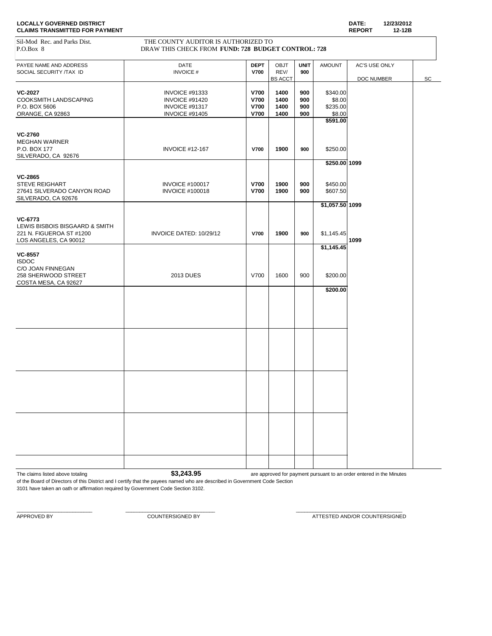| Sil-Mod Rec. and Parks Dist.<br>P.O.Box 8                                                      | THE COUNTY AUDITOR IS AUTHORIZED TO<br>DRAW THIS CHECK FROM FUND: 728 BUDGET CONTROL: 728 |                                                          |                                |                          |                                          |                             |    |
|------------------------------------------------------------------------------------------------|-------------------------------------------------------------------------------------------|----------------------------------------------------------|--------------------------------|--------------------------|------------------------------------------|-----------------------------|----|
| PAYEE NAME AND ADDRESS<br>SOCIAL SECURITY /TAX ID                                              | DATE<br><b>INVOICE#</b>                                                                   | <b>DEPT</b><br><b>V700</b>                               | OBJT<br>REV/<br><b>BS ACCT</b> | <b>UNIT</b><br>900       | <b>AMOUNT</b>                            | AC'S USE ONLY<br>DOC NUMBER | SC |
| <b>VC-2027</b><br>COOKSMITH LANDSCAPING<br>P.O. BOX 5606<br>ORANGE, CA 92863                   | <b>INVOICE #91333</b><br>INVOICE #91420<br>INVOICE #91317<br><b>INVOICE #91405</b>        | <b>V700</b><br><b>V700</b><br><b>V700</b><br><b>V700</b> | 1400<br>1400<br>1400<br>1400   | 900<br>900<br>900<br>900 | \$340.00<br>\$8.00<br>\$235.00<br>\$8.00 |                             |    |
|                                                                                                |                                                                                           |                                                          |                                |                          | \$591.00                                 |                             |    |
| <b>VC-2760</b><br><b>MEGHAN WARNER</b><br>P.O. BOX 177<br>SILVERADO, CA 92676                  | <b>INVOICE #12-167</b>                                                                    | <b>V700</b>                                              | 1900                           | 900                      | \$250.00<br>$$250.00$ 1099               |                             |    |
| <b>VC-2865</b><br><b>STEVE REIGHART</b><br>27641 SILVERADO CANYON ROAD<br>SILVERADO, CA 92676  | <b>INVOICE #100017</b><br><b>INVOICE #100018</b>                                          | <b>V700</b><br><b>V700</b>                               | 1900<br>1900                   | 900<br>900               | \$450.00<br>\$607.50                     |                             |    |
|                                                                                                |                                                                                           |                                                          |                                |                          | \$1,057.50 1099                          |                             |    |
| VC-6773<br>LEWIS BISBOIS BISGAARD & SMITH<br>221 N. FIGUEROA ST #1200<br>LOS ANGELES, CA 90012 | INVOICE DATED: 10/29/12                                                                   | <b>V700</b>                                              | 1900                           | 900                      | \$1,145.45                               | 1099                        |    |
| <b>VC-8557</b><br><b>ISDOC</b><br>C/O JOAN FINNEGAN<br>258 SHERWOOD STREET                     | <b>2013 DUES</b>                                                                          | V700                                                     | 1600                           | 900                      | \$1,145.45<br>\$200.00                   |                             |    |
| COSTA MESA, CA 92627                                                                           |                                                                                           |                                                          |                                |                          | \$200.00                                 |                             |    |
|                                                                                                |                                                                                           |                                                          |                                |                          |                                          |                             |    |
|                                                                                                |                                                                                           |                                                          |                                |                          |                                          |                             |    |
|                                                                                                |                                                                                           |                                                          |                                |                          |                                          |                             |    |
|                                                                                                |                                                                                           |                                                          |                                |                          |                                          |                             |    |
|                                                                                                |                                                                                           |                                                          |                                |                          |                                          |                             |    |
|                                                                                                |                                                                                           |                                                          |                                |                          |                                          |                             |    |
|                                                                                                |                                                                                           |                                                          |                                |                          |                                          |                             |    |

The claims listed above totaling **1996 3,243.95 are approved for payment pursuant to an order entered in the Minutes** 

of the Board of Directors of this District and I certify that the payees named who are described in Government Code Section 3101 have taken an oath or affirmation required by Government Code Section 3102.

 $\_$  , and the set of the set of the set of the set of the set of the set of the set of the set of the set of the set of the set of the set of the set of the set of the set of the set of the set of the set of the set of th

APPROVED BY **A PEROVED BY** COUNTERSIGNED BY **COUNTERSIGNED BY** ATTESTED AND/OR COUNTERSIGNED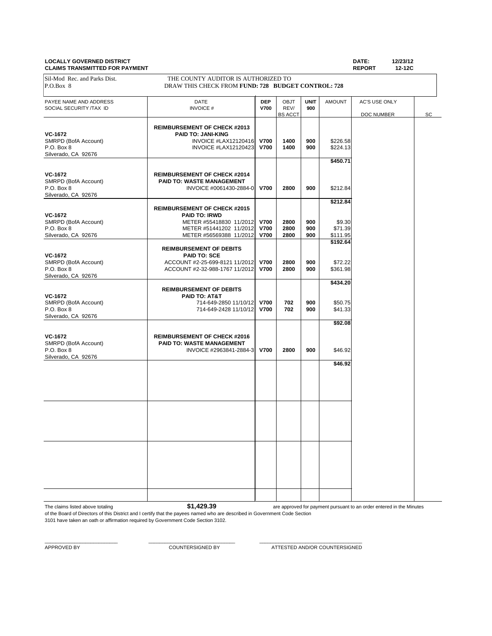#### **LOCALLY GOVERNED DISTRICT DATE: 12/23/12 CLAIMS TRANSMITTED FOR PAYMENT**

| <u>ULAINU TIVANUMITTEPT UN FATMENT</u>            |                                                    |                           |                     |                    |               | <b>INLI VINT</b><br>14-14V |    |
|---------------------------------------------------|----------------------------------------------------|---------------------------|---------------------|--------------------|---------------|----------------------------|----|
| Sil-Mod Rec. and Parks Dist.                      | THE COUNTY AUDITOR IS AUTHORIZED TO                |                           |                     |                    |               |                            |    |
| P.O.Box 8                                         | DRAW THIS CHECK FROM FUND: 728 BUDGET CONTROL: 728 |                           |                     |                    |               |                            |    |
|                                                   |                                                    |                           |                     |                    |               |                            |    |
| PAYEE NAME AND ADDRESS<br>SOCIAL SECURITY /TAX ID | DATE<br><b>INVOICE#</b>                            | <b>DEP</b><br><b>V700</b> | <b>OBJT</b><br>REV/ | <b>UNIT</b><br>900 | <b>AMOUNT</b> | AC'S USE ONLY              |    |
|                                                   |                                                    |                           | <b>BS ACCT</b>      |                    |               | DOC NUMBER                 | SC |
|                                                   | <b>REIMBURSEMENT OF CHECK #2013</b>                |                           |                     |                    |               |                            |    |
| VC-1672                                           | <b>PAID TO: JANI-KING</b>                          |                           |                     |                    |               |                            |    |
| SMRPD (BofA Account)                              | INVOICE #LAX12120416                               | <b>V700</b>               | 1400                | 900                | \$226.58      |                            |    |
| P.O. Box 8                                        | <b>INVOICE #LAX12120423</b>                        | <b>V700</b>               | 1400                | 900                | \$224.13      |                            |    |
| Silverado, CA 92676                               |                                                    |                           |                     |                    |               |                            |    |
|                                                   |                                                    |                           |                     |                    | \$450.71      |                            |    |
| <b>VC-1672</b>                                    | <b>REIMBURSEMENT OF CHECK #2014</b>                |                           |                     |                    |               |                            |    |
| SMRPD (BofA Account)                              | <b>PAID TO: WASTE MANAGEMENT</b>                   |                           |                     |                    |               |                            |    |
| P.O. Box 8                                        | INVOICE #0061430-2884-0 V700                       |                           | 2800                | 900                | \$212.84      |                            |    |
| Silverado, CA 92676                               |                                                    |                           |                     |                    |               |                            |    |
|                                                   | <b>REIMBURSEMENT OF CHECK #2015</b>                |                           |                     |                    | \$212.84      |                            |    |
| VC-1672                                           | <b>PAID TO: IRWD</b>                               |                           |                     |                    |               |                            |    |
| SMRPD (BofA Account)                              | METER #55418830 11/2012                            | <b>V700</b>               | 2800                | 900                | \$9.30        |                            |    |
| P.O. Box 8                                        | METER #51441202 11/2012                            | <b>V700</b>               | 2800                | 900                | \$71.39       |                            |    |
| Silverado, CA 92676                               | METER #56569388 11/2012                            | <b>V700</b>               | 2800                | 900                | \$111.95      |                            |    |
|                                                   | <b>REIMBURSEMENT OF DEBITS</b>                     |                           |                     |                    | \$192.64      |                            |    |
| VC-1672                                           | <b>PAID TO: SCE</b>                                |                           |                     |                    |               |                            |    |
| SMRPD (BofA Account)                              | ACCOUNT #2-25-699-8121 11/2012                     | <b>V700</b>               | 2800                | 900                | \$72.22       |                            |    |
| P.O. Box 8                                        | ACCOUNT #2-32-988-1767 11/2012                     | <b>V700</b>               | 2800                | 900                | \$361.98      |                            |    |
| Silverado, CA 92676                               |                                                    |                           |                     |                    |               |                            |    |
|                                                   | <b>REIMBURSEMENT OF DEBITS</b>                     |                           |                     |                    | \$434.20      |                            |    |
| <b>VC-1672</b>                                    | PAID TO: AT&T                                      |                           |                     |                    |               |                            |    |
| SMRPD (BofA Account)                              | 714-649-2850 11/10/12                              | <b>V700</b>               | 702                 | 900                | \$50.75       |                            |    |
| P.O. Box 8                                        | 714-649-2428 11/10/12                              | <b>V700</b>               | 702                 | 900                | \$41.33       |                            |    |
| Silverado, CA 92676                               |                                                    |                           |                     |                    |               |                            |    |
|                                                   |                                                    |                           |                     |                    | \$92.08       |                            |    |
| VC-1672                                           | <b>REIMBURSEMENT OF CHECK #2016</b>                |                           |                     |                    |               |                            |    |
| SMRPD (BofA Account)                              | PAID TO: WASTE MANAGEMENT                          |                           |                     |                    |               |                            |    |
| P.O. Box 8                                        | INVOICE #2963841-2884-3                            | <b>V700</b>               | 2800                | 900                | \$46.92       |                            |    |
| Silverado, CA 92676                               |                                                    |                           |                     |                    | \$46.92       |                            |    |
|                                                   |                                                    |                           |                     |                    |               |                            |    |
|                                                   |                                                    |                           |                     |                    |               |                            |    |
|                                                   |                                                    |                           |                     |                    |               |                            |    |
|                                                   |                                                    |                           |                     |                    |               |                            |    |
|                                                   |                                                    |                           |                     |                    |               |                            |    |
|                                                   |                                                    |                           |                     |                    |               |                            |    |
|                                                   |                                                    |                           |                     |                    |               |                            |    |
|                                                   |                                                    |                           |                     |                    |               |                            |    |
|                                                   |                                                    |                           |                     |                    |               |                            |    |
|                                                   |                                                    |                           |                     |                    |               |                            |    |
|                                                   |                                                    |                           |                     |                    |               |                            |    |
|                                                   |                                                    |                           |                     |                    |               |                            |    |
|                                                   |                                                    |                           |                     |                    |               |                            |    |
|                                                   |                                                    |                           |                     |                    |               |                            |    |
|                                                   |                                                    |                           |                     |                    |               |                            |    |
|                                                   |                                                    |                           |                     |                    |               |                            |    |
|                                                   |                                                    |                           |                     |                    |               |                            |    |

The claims listed above totaling **\$1,429.39** 

are approved for payment pursuant to an order entered in the Minutes

of the Board of Directors of this District and I certify that the payees named who are described in Government Code Section 3101 have taken an oath or affirmation required by Government Code Section 3102.

 $\_$  , and the set of the set of the set of the set of the set of the set of the set of the set of the set of the set of the set of the set of the set of the set of the set of the set of the set of the set of the set of th

APPROVED BY COUNTERSIGNED BY COUNTERSIGNED BY ATTESTED AND/OR COUNTERSIGNED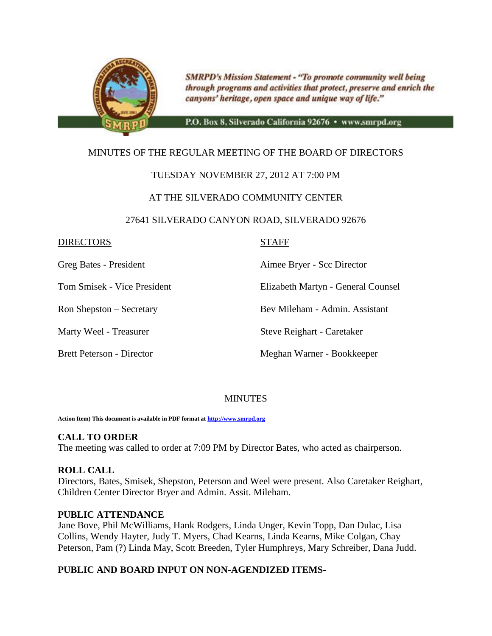

**SMRPD's Mission Statement - "To promote community well being** through programs and activities that protect, preserve and enrich the canyons' heritage, open space and unique way of life."

P.O. Box 8, Silverado California 92676 · www.smrpd.org

## MINUTES OF THE REGULAR MEETING OF THE BOARD OF DIRECTORS

## TUESDAY NOVEMBER 27, 2012 AT 7:00 PM

## AT THE SILVERADO COMMUNITY CENTER

## 27641 SILVERADO CANYON ROAD, SILVERADO 92676

## DIRECTORS STAFF

Greg Bates - President Aimee Bryer - Scc Director

Tom Smisek - Vice President Elizabeth Martyn - General Counsel

Ron Shepston – Secretary Bev Mileham - Admin. Assistant

Marty Weel - Treasurer Steve Reighart - Caretaker

Brett Peterson - Director Meghan Warner - Bookkeeper

## **MINUTES**

**Action Item) This document is available in PDF format a[t http://www.smrpd.org](http://www.smrpd.org/)**

## **CALL TO ORDER**

The meeting was called to order at 7:09 PM by Director Bates, who acted as chairperson.

## **ROLL CALL**

Directors, Bates, Smisek, Shepston, Peterson and Weel were present. Also Caretaker Reighart, Children Center Director Bryer and Admin. Assit. Mileham.

## **PUBLIC ATTENDANCE**

Jane Bove, Phil McWilliams, Hank Rodgers, Linda Unger, Kevin Topp, Dan Dulac, Lisa Collins, Wendy Hayter, Judy T. Myers, Chad Kearns, Linda Kearns, Mike Colgan, Chay Peterson, Pam (?) Linda May, Scott Breeden, Tyler Humphreys, Mary Schreiber, Dana Judd.

## **PUBLIC AND BOARD INPUT ON NON-AGENDIZED ITEMS-**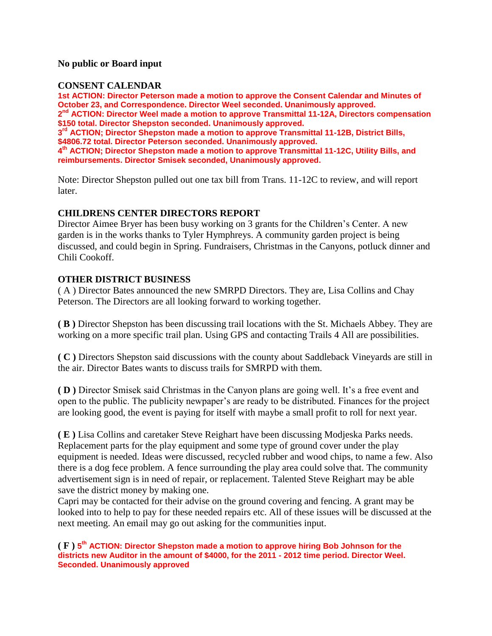## **No public or Board input**

## **CONSENT CALENDAR**

**1st ACTION: Director Peterson made a motion to approve the Consent Calendar and Minutes of October 23, and Correspondence. Director Weel seconded. Unanimously approved. 2 nd ACTION: Director Weel made a motion to approve Transmittal 11-12A, Directors compensation \$150 total. Director Shepston seconded. Unanimously approved. 3 rd ACTION; Director Shepston made a motion to approve Transmittal 11-12B, District Bills, \$4806.72 total. Director Peterson seconded. Unanimously approved. 4 th ACTION; Director Shepston made a motion to approve Transmittal 11-12C, Utility Bills, and reimbursements. Director Smisek seconded, Unanimously approved.**

Note: Director Shepston pulled out one tax bill from Trans. 11-12C to review, and will report later.

## **CHILDRENS CENTER DIRECTORS REPORT**

Director Aimee Bryer has been busy working on 3 grants for the Children's Center. A new garden is in the works thanks to Tyler Hymphreys. A community garden project is being discussed, and could begin in Spring. Fundraisers, Christmas in the Canyons, potluck dinner and Chili Cookoff.

## **OTHER DISTRICT BUSINESS**

( A ) Director Bates announced the new SMRPD Directors. They are, Lisa Collins and Chay Peterson. The Directors are all looking forward to working together.

**( B )** Director Shepston has been discussing trail locations with the St. Michaels Abbey. They are working on a more specific trail plan. Using GPS and contacting Trails 4 All are possibilities.

**( C )** Directors Shepston said discussions with the county about Saddleback Vineyards are still in the air. Director Bates wants to discuss trails for SMRPD with them.

**( D )** Director Smisek said Christmas in the Canyon plans are going well. It's a free event and open to the public. The publicity newpaper's are ready to be distributed. Finances for the project are looking good, the event is paying for itself with maybe a small profit to roll for next year.

**( E )** Lisa Collins and caretaker Steve Reighart have been discussing Modjeska Parks needs. Replacement parts for the play equipment and some type of ground cover under the play equipment is needed. Ideas were discussed, recycled rubber and wood chips, to name a few. Also there is a dog fece problem. A fence surrounding the play area could solve that. The community advertisement sign is in need of repair, or replacement. Talented Steve Reighart may be able save the district money by making one.

Capri may be contacted for their advise on the ground covering and fencing. A grant may be looked into to help to pay for these needed repairs etc. All of these issues will be discussed at the next meeting. An email may go out asking for the communities input.

**( F ) 5 th ACTION: Director Shepston made a motion to approve hiring Bob Johnson for the districts new Auditor in the amount of \$4000, for the 2011 - 2012 time period. Director Weel. Seconded. Unanimously approved**